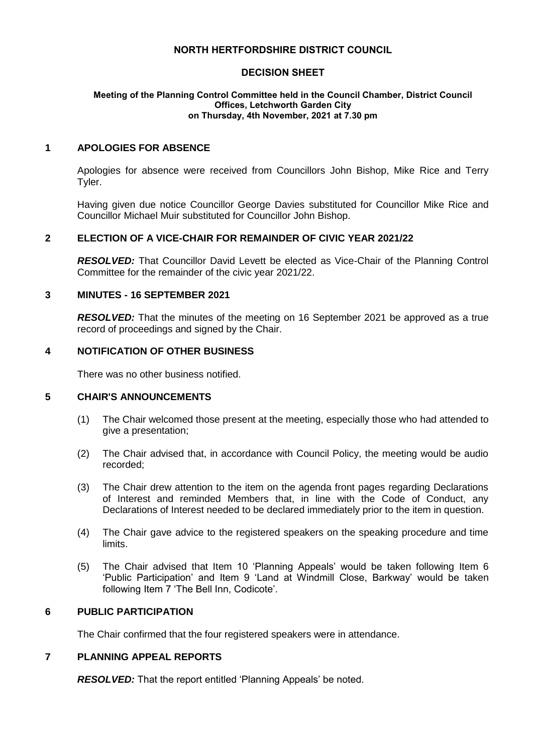# **NORTH HERTFORDSHIRE DISTRICT COUNCIL**

# **DECISION SHEET**

#### **Meeting of the Planning Control Committee held in the Council Chamber, District Council Offices, Letchworth Garden City on Thursday, 4th November, 2021 at 7.30 pm**

### **1 APOLOGIES FOR ABSENCE**

Apologies for absence were received from Councillors John Bishop, Mike Rice and Terry Tyler.

Having given due notice Councillor George Davies substituted for Councillor Mike Rice and Councillor Michael Muir substituted for Councillor John Bishop.

### **2 ELECTION OF A VICE-CHAIR FOR REMAINDER OF CIVIC YEAR 2021/22**

*RESOLVED:* That Councillor David Levett be elected as Vice-Chair of the Planning Control Committee for the remainder of the civic year 2021/22.

#### **3 MINUTES - 16 SEPTEMBER 2021**

**RESOLVED:** That the minutes of the meeting on 16 September 2021 be approved as a true record of proceedings and signed by the Chair.

# **4 NOTIFICATION OF OTHER BUSINESS**

There was no other business notified.

# **5 CHAIR'S ANNOUNCEMENTS**

- (1) The Chair welcomed those present at the meeting, especially those who had attended to give a presentation;
- (2) The Chair advised that, in accordance with Council Policy, the meeting would be audio recorded;
- (3) The Chair drew attention to the item on the agenda front pages regarding Declarations of Interest and reminded Members that, in line with the Code of Conduct, any Declarations of Interest needed to be declared immediately prior to the item in question.
- (4) The Chair gave advice to the registered speakers on the speaking procedure and time limits.
- (5) The Chair advised that Item 10 'Planning Appeals' would be taken following Item 6 'Public Participation' and Item 9 'Land at Windmill Close, Barkway' would be taken following Item 7 'The Bell Inn, Codicote'.

# **6 PUBLIC PARTICIPATION**

The Chair confirmed that the four registered speakers were in attendance.

#### **7 PLANNING APPEAL REPORTS**

*RESOLVED:* That the report entitled 'Planning Appeals' be noted.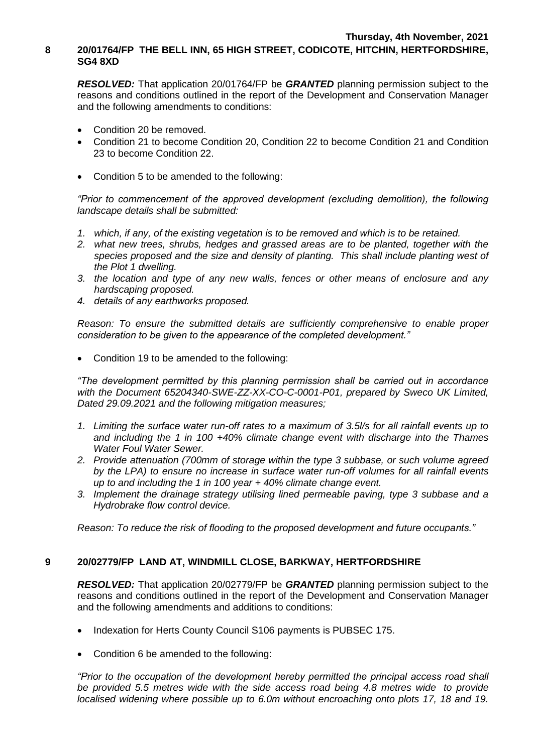# **8 20/01764/FP THE BELL INN, 65 HIGH STREET, CODICOTE, HITCHIN, HERTFORDSHIRE, SG4 8XD**

*RESOLVED:* That application 20/01764/FP be *GRANTED* planning permission subject to the reasons and conditions outlined in the report of the Development and Conservation Manager and the following amendments to conditions:

- Condition 20 be removed.
- Condition 21 to become Condition 20, Condition 22 to become Condition 21 and Condition 23 to become Condition 22.
- Condition 5 to be amended to the following:

*"Prior to commencement of the approved development (excluding demolition), the following landscape details shall be submitted:*

- *1. which, if any, of the existing vegetation is to be removed and which is to be retained.*
- *2. what new trees, shrubs, hedges and grassed areas are to be planted, together with the species proposed and the size and density of planting. This shall include planting west of the Plot 1 dwelling.*
- *3. the location and type of any new walls, fences or other means of enclosure and any hardscaping proposed.*
- *4. details of any earthworks proposed.*

*Reason: To ensure the submitted details are sufficiently comprehensive to enable proper consideration to be given to the appearance of the completed development."*

Condition 19 to be amended to the following:

*"The development permitted by this planning permission shall be carried out in accordance with the Document 65204340-SWE-ZZ-XX-CO-C-0001-P01, prepared by Sweco UK Limited, Dated 29.09.2021 and the following mitigation measures;* 

- *1. Limiting the surface water run-off rates to a maximum of 3.5l/s for all rainfall events up to and including the 1 in 100 +40% climate change event with discharge into the Thames Water Foul Water Sewer.*
- *2. Provide attenuation (700mm of storage within the type 3 subbase, or such volume agreed by the LPA) to ensure no increase in surface water run-off volumes for all rainfall events up to and including the 1 in 100 year + 40% climate change event.*
- *3. Implement the drainage strategy utilising lined permeable paving, type 3 subbase and a Hydrobrake flow control device.*

*Reason: To reduce the risk of flooding to the proposed development and future occupants."*

# **9 20/02779/FP LAND AT, WINDMILL CLOSE, BARKWAY, HERTFORDSHIRE**

*RESOLVED:* That application 20/02779/FP be *GRANTED* planning permission subject to the reasons and conditions outlined in the report of the Development and Conservation Manager and the following amendments and additions to conditions:

- Indexation for Herts County Council S106 payments is PUBSEC 175.
- Condition 6 be amended to the following:

*"Prior to the occupation of the development hereby permitted the principal access road shall be provided 5.5 metres wide with the side access road being 4.8 metres wide to provide localised widening where possible up to 6.0m without encroaching onto plots 17, 18 and 19.*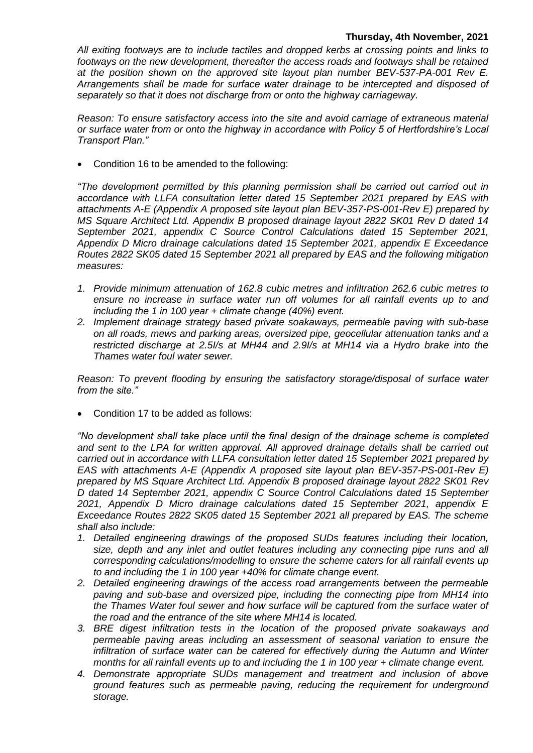#### **Thursday, 4th November, 2021**

*All exiting footways are to include tactiles and dropped kerbs at crossing points and links to*  footways on the new development, thereafter the access roads and footways shall be retained *at the position shown on the approved site layout plan number BEV-537-PA-001 Rev E. Arrangements shall be made for surface water drainage to be intercepted and disposed of separately so that it does not discharge from or onto the highway carriageway.*

*Reason: To ensure satisfactory access into the site and avoid carriage of extraneous material or surface water from or onto the highway in accordance with Policy 5 of Hertfordshire's Local Transport Plan."*

Condition 16 to be amended to the following:

*"The development permitted by this planning permission shall be carried out carried out in accordance with LLFA consultation letter dated 15 September 2021 prepared by EAS with attachments A-E (Appendix A proposed site layout plan BEV-357-PS-001-Rev E) prepared by MS Square Architect Ltd. Appendix B proposed drainage layout 2822 SK01 Rev D dated 14 September 2021, appendix C Source Control Calculations dated 15 September 2021, Appendix D Micro drainage calculations dated 15 September 2021, appendix E Exceedance Routes 2822 SK05 dated 15 September 2021 all prepared by EAS and the following mitigation measures:*

- *1. Provide minimum attenuation of 162.8 cubic metres and infiltration 262.6 cubic metres to ensure no increase in surface water run off volumes for all rainfall events up to and including the 1 in 100 year + climate change (40%) event.*
- *2. Implement drainage strategy based private soakaways, permeable paving with sub-base on all roads, mews and parking areas, oversized pipe, geocellular attenuation tanks and a restricted discharge at 2.5I/s at MH44 and 2.9I/s at MH14 via a Hydro brake into the Thames water foul water sewer.*

*Reason: To prevent flooding by ensuring the satisfactory storage/disposal of surface water from the site."*

Condition 17 to be added as follows:

*"No development shall take place until the final design of the drainage scheme is completed and sent to the LPA for written approval. All approved drainage details shall be carried out carried out in accordance with LLFA consultation letter dated 15 September 2021 prepared by EAS with attachments A-E (Appendix A proposed site layout plan BEV-357-PS-001-Rev E) prepared by MS Square Architect Ltd. Appendix B proposed drainage layout 2822 SK01 Rev D dated 14 September 2021, appendix C Source Control Calculations dated 15 September 2021, Appendix D Micro drainage calculations dated 15 September 2021, appendix E Exceedance Routes 2822 SK05 dated 15 September 2021 all prepared by EAS. The scheme shall also include:*

- *1. Detailed engineering drawings of the proposed SUDs features including their location, size, depth and any inlet and outlet features including any connecting pipe runs and all corresponding calculations/modelling to ensure the scheme caters for all rainfall events up to and including the 1 in 100 year +40% for climate change event.*
- *2. Detailed engineering drawings of the access road arrangements between the permeable paving and sub-base and oversized pipe, including the connecting pipe from MH14 into the Thames Water foul sewer and how surface will be captured from the surface water of the road and the entrance of the site where MH14 is located.*
- *3. BRE digest infiltration tests in the location of the proposed private soakaways and permeable paving areas including an assessment of seasonal variation to ensure the infiltration of surface water can be catered for effectively during the Autumn and Winter months for all rainfall events up to and including the 1 in 100 year + climate change event.*
- *4. Demonstrate appropriate SUDs management and treatment and inclusion of above ground features such as permeable paving, reducing the requirement for underground storage.*